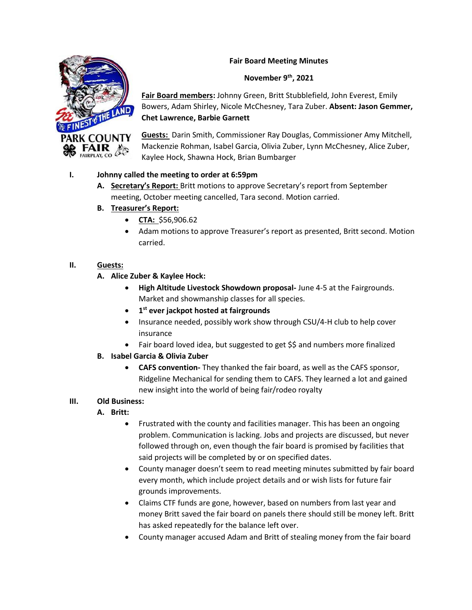#### **Fair Board Meeting Minutes**



**Fair Board members:** Johnny Green, Britt Stubblefield, John Everest, Emily Bowers, Adam Shirley, Nicole McChesney, Tara Zuber. **Absent: Jason Gemmer, Chet Lawrence, Barbie Garnett**

**Guests:** Darin Smith, Commissioner Ray Douglas, Commissioner Amy Mitchell, Mackenzie Rohman, Isabel Garcia, Olivia Zuber, Lynn McChesney, Alice Zuber, Kaylee Hock, Shawna Hock, Brian Bumbarger

### **I. Johnny called the meeting to order at 6:59pm**

- **A. Secretary's Report:** Britt motions to approve Secretary's report from September meeting, October meeting cancelled, Tara second. Motion carried.
- **B. Treasurer's Report:** 
	- **CTA:** \$56,906.62
	- Adam motions to approve Treasurer's report as presented, Britt second. Motion carried.

### **II. Guests:**

- **A. Alice Zuber & Kaylee Hock:** 
	- **High Altitude Livestock Showdown proposal-** June 4-5 at the Fairgrounds. Market and showmanship classes for all species.
	- **1 st ever jackpot hosted at fairgrounds**
	- Insurance needed, possibly work show through CSU/4-H club to help cover insurance
	- Fair board loved idea, but suggested to get \$\$ and numbers more finalized
- **B. Isabel Garcia & Olivia Zuber** 
	- **CAFS convention-** They thanked the fair board, as well as the CAFS sponsor, Ridgeline Mechanical for sending them to CAFS. They learned a lot and gained new insight into the world of being fair/rodeo royalty

#### **III. Old Business:**

- **A. Britt:**
	- Frustrated with the county and facilities manager. This has been an ongoing problem. Communication is lacking. Jobs and projects are discussed, but never followed through on, even though the fair board is promised by facilities that said projects will be completed by or on specified dates.
	- County manager doesn't seem to read meeting minutes submitted by fair board every month, which include project details and or wish lists for future fair grounds improvements.
	- Claims CTF funds are gone, however, based on numbers from last year and money Britt saved the fair board on panels there should still be money left. Britt has asked repeatedly for the balance left over.
	- County manager accused Adam and Britt of stealing money from the fair board

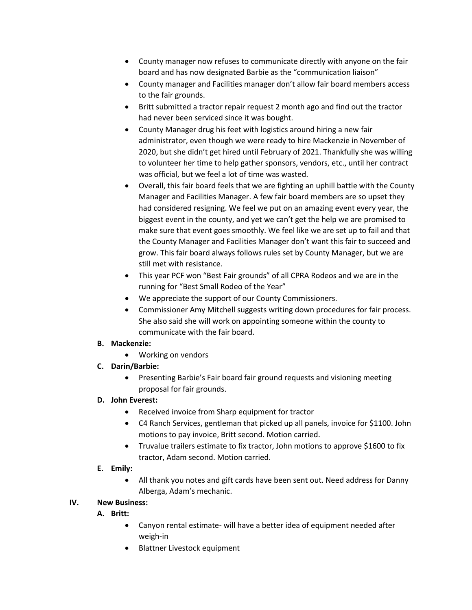- County manager now refuses to communicate directly with anyone on the fair board and has now designated Barbie as the "communication liaison"
- County manager and Facilities manager don't allow fair board members access to the fair grounds.
- Britt submitted a tractor repair request 2 month ago and find out the tractor had never been serviced since it was bought.
- County Manager drug his feet with logistics around hiring a new fair administrator, even though we were ready to hire Mackenzie in November of 2020, but she didn't get hired until February of 2021. Thankfully she was willing to volunteer her time to help gather sponsors, vendors, etc., until her contract was official, but we feel a lot of time was wasted.
- Overall, this fair board feels that we are fighting an uphill battle with the County Manager and Facilities Manager. A few fair board members are so upset they had considered resigning. We feel we put on an amazing event every year, the biggest event in the county, and yet we can't get the help we are promised to make sure that event goes smoothly. We feel like we are set up to fail and that the County Manager and Facilities Manager don't want this fair to succeed and grow. This fair board always follows rules set by County Manager, but we are still met with resistance.
- This year PCF won "Best Fair grounds" of all CPRA Rodeos and we are in the running for "Best Small Rodeo of the Year"
- We appreciate the support of our County Commissioners.
- Commissioner Amy Mitchell suggests writing down procedures for fair process. She also said she will work on appointing someone within the county to communicate with the fair board.

# **B. Mackenzie:**

- Working on vendors
- **C. Darin/Barbie:** 
	- Presenting Barbie's Fair board fair ground requests and visioning meeting proposal for fair grounds.

# **D. John Everest:**

- Received invoice from Sharp equipment for tractor
- C4 Ranch Services, gentleman that picked up all panels, invoice for \$1100. John motions to pay invoice, Britt second. Motion carried.
- Truvalue trailers estimate to fix tractor, John motions to approve \$1600 to fix tractor, Adam second. Motion carried.

# **E. Emily:**

• All thank you notes and gift cards have been sent out. Need address for Danny Alberga, Adam's mechanic.

# **IV. New Business:**

- **A. Britt:** 
	- Canyon rental estimate- will have a better idea of equipment needed after weigh-in
	- Blattner Livestock equipment